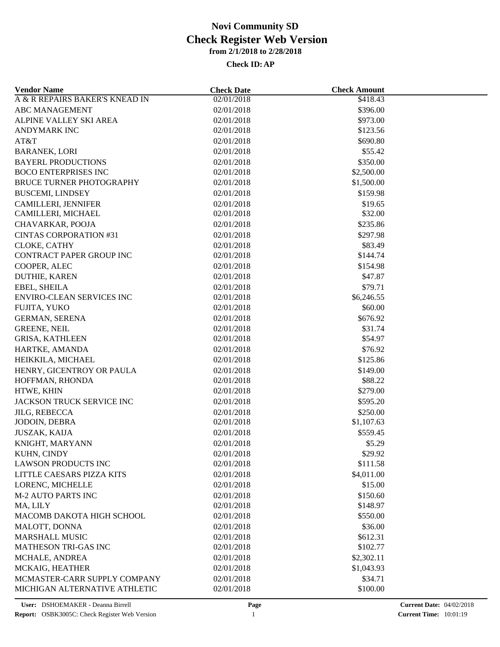| <b>Vendor Name</b>              | <b>Check Date</b>        | <b>Check Amount</b>  |  |
|---------------------------------|--------------------------|----------------------|--|
| A & R REPAIRS BAKER'S KNEAD IN  | 02/01/2018               | \$418.43             |  |
| <b>ABC MANAGEMENT</b>           | 02/01/2018               | \$396.00             |  |
| ALPINE VALLEY SKI AREA          | 02/01/2018               | \$973.00             |  |
| <b>ANDYMARK INC</b>             | 02/01/2018               | \$123.56             |  |
| AT&T                            | 02/01/2018               | \$690.80             |  |
| <b>BARANEK, LORI</b>            | 02/01/2018               | \$55.42              |  |
| <b>BAYERL PRODUCTIONS</b>       | 02/01/2018               | \$350.00             |  |
| <b>BOCO ENTERPRISES INC</b>     | 02/01/2018               | \$2,500.00           |  |
| <b>BRUCE TURNER PHOTOGRAPHY</b> | 02/01/2018               | \$1,500.00           |  |
| <b>BUSCEMI, LINDSEY</b>         | 02/01/2018               | \$159.98             |  |
| CAMILLERI, JENNIFER             | 02/01/2018               | \$19.65              |  |
| CAMILLERI, MICHAEL              | 02/01/2018               | \$32.00              |  |
| CHAVARKAR, POOJA                | 02/01/2018               | \$235.86             |  |
| <b>CINTAS CORPORATION #31</b>   | 02/01/2018               | \$297.98             |  |
| CLOKE, CATHY                    | 02/01/2018               | \$83.49              |  |
| <b>CONTRACT PAPER GROUP INC</b> | 02/01/2018               | \$144.74             |  |
| COOPER, ALEC                    | 02/01/2018               | \$154.98             |  |
| DUTHIE, KAREN                   | 02/01/2018               | \$47.87              |  |
| EBEL, SHEILA                    | 02/01/2018               | \$79.71              |  |
| ENVIRO-CLEAN SERVICES INC       | 02/01/2018               | \$6,246.55           |  |
| FUJITA, YUKO                    | 02/01/2018               | \$60.00              |  |
| <b>GERMAN, SERENA</b>           | 02/01/2018               | \$676.92             |  |
| <b>GREENE, NEIL</b>             | 02/01/2018               | \$31.74              |  |
| <b>GRISA, KATHLEEN</b>          | 02/01/2018               | \$54.97              |  |
| HARTKE, AMANDA                  | 02/01/2018               | \$76.92              |  |
| HEIKKILA, MICHAEL               | 02/01/2018               | \$125.86             |  |
| HENRY, GICENTROY OR PAULA       | 02/01/2018               | \$149.00             |  |
| HOFFMAN, RHONDA                 | 02/01/2018               | \$88.22              |  |
| HTWE, KHIN                      | 02/01/2018               | \$279.00             |  |
| JACKSON TRUCK SERVICE INC       | 02/01/2018               | \$595.20             |  |
| <b>JILG, REBECCA</b>            | 02/01/2018               | \$250.00             |  |
| JODOIN, DEBRA                   | 02/01/2018               | \$1,107.63           |  |
| <b>JUSZAK, KAIJA</b>            | 02/01/2018               | \$559.45             |  |
| KNIGHT, MARYANN                 | 02/01/2018               | \$5.29               |  |
| KUHN, CINDY                     | 02/01/2018               | \$29.92              |  |
| <b>LAWSON PRODUCTS INC</b>      | 02/01/2018               | \$111.58             |  |
| LITTLE CAESARS PIZZA KITS       | 02/01/2018               | \$4,011.00           |  |
| LORENC, MICHELLE                | 02/01/2018               | \$15.00              |  |
| <b>M-2 AUTO PARTS INC</b>       |                          |                      |  |
| MA, LILY                        | 02/01/2018<br>02/01/2018 | \$150.60<br>\$148.97 |  |
| MACOMB DAKOTA HIGH SCHOOL       |                          | \$550.00             |  |
|                                 | 02/01/2018               |                      |  |
| MALOTT, DONNA                   | 02/01/2018               | \$36.00              |  |
| <b>MARSHALL MUSIC</b>           | 02/01/2018               | \$612.31             |  |
| <b>MATHESON TRI-GAS INC</b>     | 02/01/2018               | \$102.77             |  |
| MCHALE, ANDREA                  | 02/01/2018               | \$2,302.11           |  |
| MCKAIG, HEATHER                 | 02/01/2018               | \$1,043.93           |  |
| MCMASTER-CARR SUPPLY COMPANY    | 02/01/2018               | \$34.71              |  |
| MICHIGAN ALTERNATIVE ATHLETIC   | 02/01/2018               | \$100.00             |  |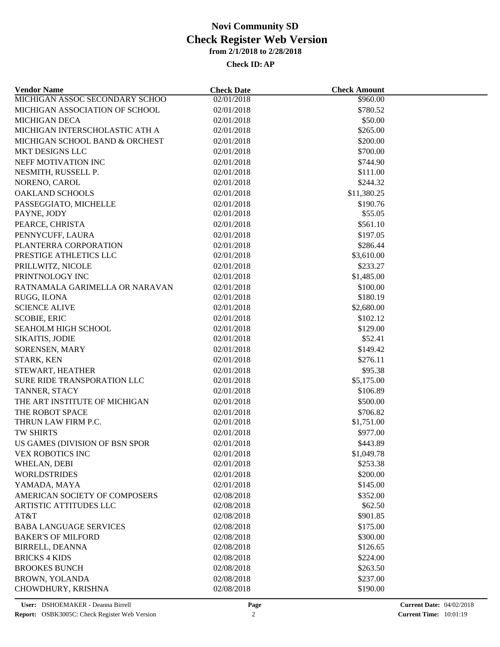| <b>Vendor Name</b>             | <b>Check Date</b> | <b>Check Amount</b> |  |
|--------------------------------|-------------------|---------------------|--|
| MICHIGAN ASSOC SECONDARY SCHOO | 02/01/2018        | \$960.00            |  |
| MICHIGAN ASSOCIATION OF SCHOOL | 02/01/2018        | \$780.52            |  |
| <b>MICHIGAN DECA</b>           | 02/01/2018        | \$50.00             |  |
| MICHIGAN INTERSCHOLASTIC ATH A | 02/01/2018        | \$265.00            |  |
| MICHIGAN SCHOOL BAND & ORCHEST | 02/01/2018        | \$200.00            |  |
| MKT DESIGNS LLC                | 02/01/2018        | \$700.00            |  |
| NEFF MOTIVATION INC            | 02/01/2018        | \$744.90            |  |
| NESMITH, RUSSELL P.            | 02/01/2018        | \$111.00            |  |
| NORENO, CAROL                  | 02/01/2018        | \$244.32            |  |
| <b>OAKLAND SCHOOLS</b>         | 02/01/2018        | \$11,380.25         |  |
| PASSEGGIATO, MICHELLE          | 02/01/2018        | \$190.76            |  |
| PAYNE, JODY                    | 02/01/2018        | \$55.05             |  |
| PEARCE, CHRISTA                | 02/01/2018        | \$561.10            |  |
| PENNYCUFF, LAURA               | 02/01/2018        | \$197.05            |  |
| PLANTERRA CORPORATION          | 02/01/2018        | \$286.44            |  |
| PRESTIGE ATHLETICS LLC         | 02/01/2018        | \$3,610.00          |  |
| PRILLWITZ, NICOLE              | 02/01/2018        | \$233.27            |  |
| PRINTNOLOGY INC                | 02/01/2018        | \$1,485.00          |  |
| RATNAMALA GARIMELLA OR NARAVAN | 02/01/2018        | \$100.00            |  |
| RUGG, ILONA                    | 02/01/2018        | \$180.19            |  |
| <b>SCIENCE ALIVE</b>           | 02/01/2018        | \$2,680.00          |  |
| <b>SCOBIE, ERIC</b>            | 02/01/2018        | \$102.12            |  |
| <b>SEAHOLM HIGH SCHOOL</b>     | 02/01/2018        | \$129.00            |  |
| SIKAITIS, JODIE                | 02/01/2018        | \$52.41             |  |
| SORENSEN, MARY                 | 02/01/2018        | \$149.42            |  |
| STARK, KEN                     | 02/01/2018        | \$276.11            |  |
| STEWART, HEATHER               | 02/01/2018        | \$95.38             |  |
| SURE RIDE TRANSPORATION LLC    | 02/01/2018        | \$5,175.00          |  |
| TANNER, STACY                  | 02/01/2018        | \$106.89            |  |
| THE ART INSTITUTE OF MICHIGAN  | 02/01/2018        | \$500.00            |  |
| THE ROBOT SPACE                | 02/01/2018        | \$706.82            |  |
| THRUN LAW FIRM P.C.            | 02/01/2018        | \$1,751.00          |  |
| TW SHIRTS                      | 02/01/2018        | \$977.00            |  |
| US GAMES (DIVISION OF BSN SPOR |                   |                     |  |
|                                | 02/01/2018        | \$443.89            |  |
| VEX ROBOTICS INC               | 02/01/2018        | \$1,049.78          |  |
| WHELAN, DEBI                   | 02/01/2018        | \$253.38            |  |
| <b>WORLDSTRIDES</b>            | 02/01/2018        | \$200.00            |  |
| YAMADA, MAYA                   | 02/01/2018        | \$145.00            |  |
| AMERICAN SOCIETY OF COMPOSERS  | 02/08/2018        | \$352.00            |  |
| ARTISTIC ATTITUDES LLC         | 02/08/2018        | \$62.50             |  |
| AT&T                           | 02/08/2018        | \$901.85            |  |
| <b>BABA LANGUAGE SERVICES</b>  | 02/08/2018        | \$175.00            |  |
| <b>BAKER'S OF MILFORD</b>      | 02/08/2018        | \$300.00            |  |
| <b>BIRRELL, DEANNA</b>         | 02/08/2018        | \$126.65            |  |
| <b>BRICKS 4 KIDS</b>           | 02/08/2018        | \$224.00            |  |
| <b>BROOKES BUNCH</b>           | 02/08/2018        | \$263.50            |  |
| <b>BROWN, YOLANDA</b>          | 02/08/2018        | \$237.00            |  |
| CHOWDHURY, KRISHNA             | 02/08/2018        | \$190.00            |  |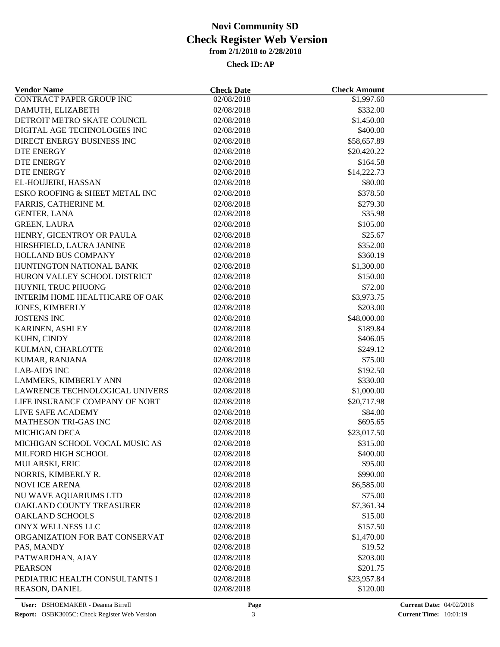| <b>Vendor Name</b>                        | <b>Check Date</b> | <b>Check Amount</b> |  |
|-------------------------------------------|-------------------|---------------------|--|
| <b>CONTRACT PAPER GROUP INC</b>           | 02/08/2018        | \$1,997.60          |  |
| DAMUTH, ELIZABETH                         | 02/08/2018        | \$332.00            |  |
| DETROIT METRO SKATE COUNCIL               | 02/08/2018        | \$1,450.00          |  |
| DIGITAL AGE TECHNOLOGIES INC              | 02/08/2018        | \$400.00            |  |
| DIRECT ENERGY BUSINESS INC                | 02/08/2018        | \$58,657.89         |  |
| <b>DTE ENERGY</b>                         | 02/08/2018        | \$20,420.22         |  |
| <b>DTE ENERGY</b>                         | 02/08/2018        | \$164.58            |  |
| DTE ENERGY                                | 02/08/2018        | \$14,222.73         |  |
| EL-HOUJEIRI, HASSAN                       | 02/08/2018        | \$80.00             |  |
| ESKO ROOFING & SHEET METAL INC            | 02/08/2018        | \$378.50            |  |
| FARRIS, CATHERINE M.                      | 02/08/2018        | \$279.30            |  |
| <b>GENTER, LANA</b>                       | 02/08/2018        | \$35.98             |  |
| <b>GREEN, LAURA</b>                       | 02/08/2018        | \$105.00            |  |
| HENRY, GICENTROY OR PAULA                 | 02/08/2018        | \$25.67             |  |
| HIRSHFIELD, LAURA JANINE                  | 02/08/2018        | \$352.00            |  |
| HOLLAND BUS COMPANY                       | 02/08/2018        | \$360.19            |  |
| HUNTINGTON NATIONAL BANK                  | 02/08/2018        | \$1,300.00          |  |
| HURON VALLEY SCHOOL DISTRICT              | 02/08/2018        | \$150.00            |  |
| HUYNH, TRUC PHUONG                        | 02/08/2018        | \$72.00             |  |
| <b>INTERIM HOME HEALTHCARE OF OAK</b>     | 02/08/2018        | \$3,973.75          |  |
| <b>JONES, KIMBERLY</b>                    | 02/08/2018        | \$203.00            |  |
| <b>JOSTENS INC</b>                        | 02/08/2018        | \$48,000.00         |  |
| KARINEN, ASHLEY                           | 02/08/2018        | \$189.84            |  |
| KUHN, CINDY                               | 02/08/2018        | \$406.05            |  |
| KULMAN, CHARLOTTE                         | 02/08/2018        | \$249.12            |  |
| KUMAR, RANJANA                            | 02/08/2018        | \$75.00             |  |
| <b>LAB-AIDS INC</b>                       | 02/08/2018        | \$192.50            |  |
| LAMMERS, KIMBERLY ANN                     | 02/08/2018        | \$330.00            |  |
| LAWRENCE TECHNOLOGICAL UNIVERS            | 02/08/2018        | \$1,000.00          |  |
| LIFE INSURANCE COMPANY OF NORT            | 02/08/2018        |                     |  |
|                                           |                   | \$20,717.98         |  |
| LIVE SAFE ACADEMY<br>MATHESON TRI-GAS INC | 02/08/2018        | \$84.00<br>\$695.65 |  |
|                                           | 02/08/2018        |                     |  |
| <b>MICHIGAN DECA</b>                      | 02/08/2018        | \$23,017.50         |  |
| MICHIGAN SCHOOL VOCAL MUSIC AS            | 02/08/2018        | \$315.00            |  |
| MILFORD HIGH SCHOOL                       | 02/08/2018        | \$400.00            |  |
| MULARSKI, ERIC                            | 02/08/2018        | \$95.00             |  |
| NORRIS, KIMBERLY R.                       | 02/08/2018        | \$990.00            |  |
| <b>NOVI ICE ARENA</b>                     | 02/08/2018        | \$6,585.00          |  |
| NU WAVE AQUARIUMS LTD                     | 02/08/2018        | \$75.00             |  |
| OAKLAND COUNTY TREASURER                  | 02/08/2018        | \$7,361.34          |  |
| <b>OAKLAND SCHOOLS</b>                    | 02/08/2018        | \$15.00             |  |
| ONYX WELLNESS LLC                         | 02/08/2018        | \$157.50            |  |
| ORGANIZATION FOR BAT CONSERVAT            | 02/08/2018        | \$1,470.00          |  |
| PAS, MANDY                                | 02/08/2018        | \$19.52             |  |
| PATWARDHAN, AJAY                          | 02/08/2018        | \$203.00            |  |
| <b>PEARSON</b>                            | 02/08/2018        | \$201.75            |  |
| PEDIATRIC HEALTH CONSULTANTS I            | 02/08/2018        | \$23,957.84         |  |
| REASON, DANIEL                            | 02/08/2018        | \$120.00            |  |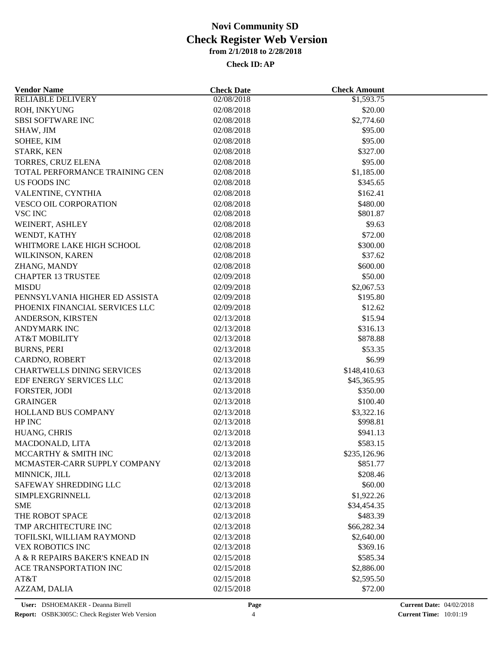| <b>Vendor Name</b>                | <b>Check Date</b> | <b>Check Amount</b> |  |
|-----------------------------------|-------------------|---------------------|--|
| <b>RELIABLE DELIVERY</b>          | 02/08/2018        | \$1,593.75          |  |
| ROH, INKYUNG                      | 02/08/2018        | \$20.00             |  |
| <b>SBSI SOFTWARE INC</b>          | 02/08/2018        | \$2,774.60          |  |
| SHAW, JIM                         | 02/08/2018        | \$95.00             |  |
| SOHEE, KIM                        | 02/08/2018        | \$95.00             |  |
| STARK, KEN                        | 02/08/2018        | \$327.00            |  |
| TORRES, CRUZ ELENA                | 02/08/2018        | \$95.00             |  |
| TOTAL PERFORMANCE TRAINING CEN    | 02/08/2018        | \$1,185.00          |  |
| <b>US FOODS INC</b>               | 02/08/2018        | \$345.65            |  |
| VALENTINE, CYNTHIA                | 02/08/2018        | \$162.41            |  |
| VESCO OIL CORPORATION             | 02/08/2018        | \$480.00            |  |
| <b>VSC INC</b>                    | 02/08/2018        | \$801.87            |  |
| WEINERT, ASHLEY                   | 02/08/2018        | \$9.63              |  |
| WENDT, KATHY                      | 02/08/2018        | \$72.00             |  |
| WHITMORE LAKE HIGH SCHOOL         | 02/08/2018        | \$300.00            |  |
| WILKINSON, KAREN                  | 02/08/2018        | \$37.62             |  |
| ZHANG, MANDY                      | 02/08/2018        | \$600.00            |  |
| <b>CHAPTER 13 TRUSTEE</b>         | 02/09/2018        | \$50.00             |  |
| <b>MISDU</b>                      | 02/09/2018        | \$2,067.53          |  |
| PENNSYLVANIA HIGHER ED ASSISTA    | 02/09/2018        | \$195.80            |  |
|                                   |                   | \$12.62             |  |
| PHOENIX FINANCIAL SERVICES LLC    | 02/09/2018        |                     |  |
| ANDERSON, KIRSTEN                 | 02/13/2018        | \$15.94             |  |
| <b>ANDYMARK INC</b>               | 02/13/2018        | \$316.13            |  |
| <b>AT&amp;T MOBILITY</b>          | 02/13/2018        | \$878.88            |  |
| <b>BURNS, PERI</b>                | 02/13/2018        | \$53.35             |  |
| CARDNO, ROBERT                    | 02/13/2018        | \$6.99              |  |
| <b>CHARTWELLS DINING SERVICES</b> | 02/13/2018        | \$148,410.63        |  |
| EDF ENERGY SERVICES LLC           | 02/13/2018        | \$45,365.95         |  |
| FORSTER, JODI                     | 02/13/2018        | \$350.00            |  |
| <b>GRAINGER</b>                   | 02/13/2018        | \$100.40            |  |
| HOLLAND BUS COMPANY               | 02/13/2018        | \$3,322.16          |  |
| HP INC                            | 02/13/2018        | \$998.81            |  |
| HUANG, CHRIS                      | 02/13/2018        | \$941.13            |  |
| MACDONALD, LITA                   | 02/13/2018        | \$583.15            |  |
| MCCARTHY & SMITH INC              | 02/13/2018        | \$235,126.96        |  |
| MCMASTER-CARR SUPPLY COMPANY      | 02/13/2018        | \$851.77            |  |
| MINNICK, JILL                     | 02/13/2018        | \$208.46            |  |
| SAFEWAY SHREDDING LLC             | 02/13/2018        | \$60.00             |  |
| SIMPLEXGRINNELL                   | 02/13/2018        | \$1,922.26          |  |
| <b>SME</b>                        | 02/13/2018        | \$34,454.35         |  |
| THE ROBOT SPACE                   | 02/13/2018        | \$483.39            |  |
| TMP ARCHITECTURE INC              | 02/13/2018        | \$66,282.34         |  |
| TOFILSKI, WILLIAM RAYMOND         | 02/13/2018        | \$2,640.00          |  |
| <b>VEX ROBOTICS INC</b>           | 02/13/2018        | \$369.16            |  |
| A & R REPAIRS BAKER'S KNEAD IN    | 02/15/2018        | \$585.34            |  |
| ACE TRANSPORTATION INC            | 02/15/2018        | \$2,886.00          |  |
| AT&T                              | 02/15/2018        | \$2,595.50          |  |
| AZZAM, DALIA                      | 02/15/2018        | \$72.00             |  |
|                                   |                   |                     |  |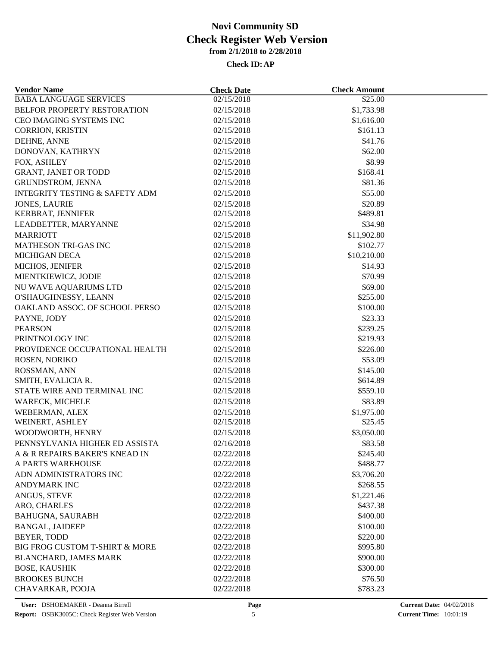| <b>Vendor Name</b>                        | <b>Check Date</b> | <b>Check Amount</b>   |  |
|-------------------------------------------|-------------------|-----------------------|--|
| <b>BABA LANGUAGE SERVICES</b>             | 02/15/2018        | \$25.00               |  |
| BELFOR PROPERTY RESTORATION               | 02/15/2018        | \$1,733.98            |  |
| CEO IMAGING SYSTEMS INC                   | 02/15/2018        | \$1,616.00            |  |
| CORRION, KRISTIN                          | 02/15/2018        | \$161.13              |  |
| DEHNE, ANNE                               | 02/15/2018        | \$41.76               |  |
| DONOVAN, KATHRYN                          | 02/15/2018        | \$62.00               |  |
| FOX, ASHLEY                               | 02/15/2018        | \$8.99                |  |
| GRANT, JANET OR TODD                      | 02/15/2018        | \$168.41              |  |
| GRUNDSTROM, JENNA                         | 02/15/2018        | \$81.36               |  |
| <b>INTEGRITY TESTING &amp; SAFETY ADM</b> | 02/15/2018        | \$55.00               |  |
| <b>JONES, LAURIE</b>                      | 02/15/2018        | \$20.89               |  |
| KERBRAT, JENNIFER                         | 02/15/2018        | \$489.81              |  |
| LEADBETTER, MARYANNE                      | 02/15/2018        | \$34.98               |  |
| <b>MARRIOTT</b>                           | 02/15/2018        | \$11,902.80           |  |
| <b>MATHESON TRI-GAS INC</b>               | 02/15/2018        | \$102.77              |  |
| <b>MICHIGAN DECA</b>                      | 02/15/2018        | \$10,210.00           |  |
| MICHOS, JENIFER                           | 02/15/2018        | \$14.93               |  |
| MIENTKIEWICZ, JODIE                       | 02/15/2018        | \$70.99               |  |
| NU WAVE AQUARIUMS LTD                     | 02/15/2018        | \$69.00               |  |
| O'SHAUGHNESSY, LEANN                      | 02/15/2018        | \$255.00              |  |
| OAKLAND ASSOC. OF SCHOOL PERSO            | 02/15/2018        | \$100.00              |  |
| PAYNE, JODY                               | 02/15/2018        | \$23.33               |  |
| <b>PEARSON</b>                            | 02/15/2018        | \$239.25              |  |
| PRINTNOLOGY INC                           | 02/15/2018        | \$219.93              |  |
| PROVIDENCE OCCUPATIONAL HEALTH            | 02/15/2018        | \$226.00              |  |
| ROSEN, NORIKO                             | 02/15/2018        | \$53.09               |  |
| ROSSMAN, ANN                              | 02/15/2018        | \$145.00              |  |
| SMITH, EVALICIA R.                        | 02/15/2018        | \$614.89              |  |
| STATE WIRE AND TERMINAL INC               | 02/15/2018        | \$559.10              |  |
| <b>WARECK, MICHELE</b>                    | 02/15/2018        | \$83.89               |  |
|                                           | 02/15/2018        |                       |  |
| WEBERMAN, ALEX<br>WEINERT, ASHLEY         | 02/15/2018        | \$1,975.00<br>\$25.45 |  |
| WOODWORTH, HENRY                          |                   |                       |  |
|                                           | 02/15/2018        | \$3,050.00            |  |
| PENNSYLVANIA HIGHER ED ASSISTA            | 02/16/2018        | \$83.58               |  |
| A & R REPAIRS BAKER'S KNEAD IN            | 02/22/2018        | \$245.40              |  |
| A PARTS WAREHOUSE                         | 02/22/2018        | \$488.77              |  |
| ADN ADMINISTRATORS INC                    | 02/22/2018        | \$3,706.20            |  |
| <b>ANDYMARK INC</b>                       | 02/22/2018        | \$268.55              |  |
| ANGUS, STEVE                              | 02/22/2018        | \$1,221.46            |  |
| ARO, CHARLES                              | 02/22/2018        | \$437.38              |  |
| <b>BAHUGNA, SAURABH</b>                   | 02/22/2018        | \$400.00              |  |
| <b>BANGAL, JAIDEEP</b>                    | 02/22/2018        | \$100.00              |  |
| <b>BEYER, TODD</b>                        | 02/22/2018        | \$220.00              |  |
| BIG FROG CUSTOM T-SHIRT & MORE            | 02/22/2018        | \$995.80              |  |
| BLANCHARD, JAMES MARK                     | 02/22/2018        | \$900.00              |  |
| <b>BOSE, KAUSHIK</b>                      | 02/22/2018        | \$300.00              |  |
| <b>BROOKES BUNCH</b>                      | 02/22/2018        | \$76.50               |  |
| CHAVARKAR, POOJA                          | 02/22/2018        | \$783.23              |  |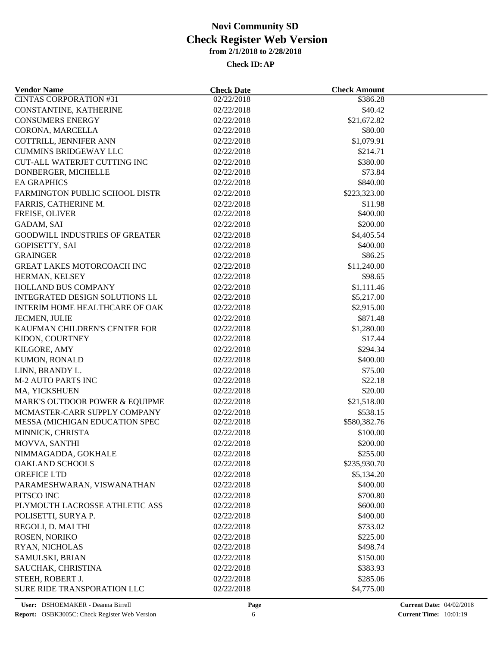| <b>Vendor Name</b>                    | <b>Check Date</b>        | <b>Check Amount</b>      |  |
|---------------------------------------|--------------------------|--------------------------|--|
| <b>CINTAS CORPORATION #31</b>         | 02/22/2018               | 3386.28                  |  |
| CONSTANTINE, KATHERINE                | 02/22/2018               | \$40.42                  |  |
| <b>CONSUMERS ENERGY</b>               | 02/22/2018               | \$21,672.82              |  |
| CORONA, MARCELLA                      | 02/22/2018               | \$80.00                  |  |
| COTTRILL, JENNIFER ANN                | 02/22/2018               | \$1,079.91               |  |
| <b>CUMMINS BRIDGEWAY LLC</b>          | 02/22/2018               | \$214.71                 |  |
| CUT-ALL WATERJET CUTTING INC          | 02/22/2018               | \$380.00                 |  |
| DONBERGER, MICHELLE                   | 02/22/2018               | \$73.84                  |  |
| <b>EA GRAPHICS</b>                    | 02/22/2018               | \$840.00                 |  |
| FARMINGTON PUBLIC SCHOOL DISTR        | 02/22/2018               | \$223,323.00             |  |
| FARRIS, CATHERINE M.                  | 02/22/2018               | \$11.98                  |  |
| FREISE, OLIVER                        | 02/22/2018               | \$400.00                 |  |
| GADAM, SAI                            | 02/22/2018               | \$200.00                 |  |
| <b>GOODWILL INDUSTRIES OF GREATER</b> | 02/22/2018               | \$4,405.54               |  |
| <b>GOPISETTY, SAI</b>                 | 02/22/2018               | \$400.00                 |  |
| <b>GRAINGER</b>                       | 02/22/2018               | \$86.25                  |  |
| GREAT LAKES MOTORCOACH INC            | 02/22/2018               | \$11,240.00              |  |
| HERMAN, KELSEY                        | 02/22/2018               | \$98.65                  |  |
| HOLLAND BUS COMPANY                   | 02/22/2018               | \$1,111.46               |  |
| INTEGRATED DESIGN SOLUTIONS LL        | 02/22/2018               | \$5,217.00               |  |
| <b>INTERIM HOME HEALTHCARE OF OAK</b> | 02/22/2018               | \$2,915.00               |  |
| JECMEN, JULIE                         | 02/22/2018               | \$871.48                 |  |
| KAUFMAN CHILDREN'S CENTER FOR         | 02/22/2018               | \$1,280.00               |  |
| KIDON, COURTNEY                       | 02/22/2018               | \$17.44                  |  |
| KILGORE, AMY                          | 02/22/2018               | \$294.34                 |  |
| KUMON, RONALD                         | 02/22/2018               | \$400.00                 |  |
| LINN, BRANDY L.                       | 02/22/2018               | \$75.00                  |  |
| <b>M-2 AUTO PARTS INC</b>             | 02/22/2018               | \$22.18                  |  |
| MA, YICKSHUEN                         | 02/22/2018               | \$20.00                  |  |
| MARK'S OUTDOOR POWER & EQUIPME        | 02/22/2018               | \$21,518.00              |  |
| MCMASTER-CARR SUPPLY COMPANY          |                          |                          |  |
| MESSA (MICHIGAN EDUCATION SPEC        | 02/22/2018<br>02/22/2018 | \$538.15<br>\$580,382.76 |  |
|                                       | 02/22/2018               | \$100.00                 |  |
| MINNICK, CHRISTA                      |                          |                          |  |
| MOVVA, SANTHI                         | 02/22/2018               | \$200.00                 |  |
| NIMMAGADDA, GOKHALE                   | 02/22/2018               | \$255.00                 |  |
| <b>OAKLAND SCHOOLS</b>                | 02/22/2018               | \$235,930.70             |  |
| OREFICE LTD                           | 02/22/2018               | \$5,134.20               |  |
| PARAMESHWARAN, VISWANATHAN            | 02/22/2018               | \$400.00                 |  |
| PITSCO INC                            | 02/22/2018               | \$700.80                 |  |
| PLYMOUTH LACROSSE ATHLETIC ASS        | 02/22/2018               | \$600.00                 |  |
| POLISETTI, SURYA P.                   | 02/22/2018               | \$400.00                 |  |
| REGOLI, D. MAI THI                    | 02/22/2018               | \$733.02                 |  |
| ROSEN, NORIKO                         | 02/22/2018               | \$225.00                 |  |
| RYAN, NICHOLAS                        | 02/22/2018               | \$498.74                 |  |
| SAMULSKI, BRIAN                       | 02/22/2018               | \$150.00                 |  |
| SAUCHAK, CHRISTINA                    | 02/22/2018               | \$383.93                 |  |
| STEEH, ROBERT J.                      | 02/22/2018               | \$285.06                 |  |
| SURE RIDE TRANSPORATION LLC           | 02/22/2018               | \$4,775.00               |  |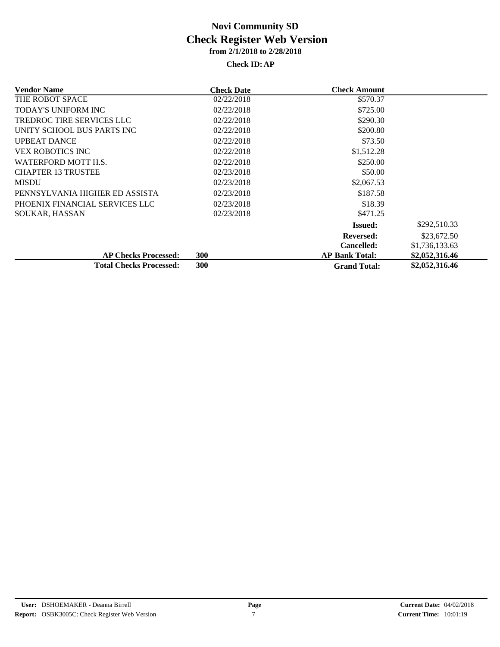| Vendor Name                    | <b>Check Date</b> | <b>Check Amount</b>   |                |
|--------------------------------|-------------------|-----------------------|----------------|
| THE ROBOT SPACE                | 02/22/2018        | \$570.37              |                |
| <b>TODAY'S UNIFORM INC</b>     | 02/22/2018        | \$725.00              |                |
| TREDROC TIRE SERVICES LLC      | 02/22/2018        | \$290.30              |                |
| UNITY SCHOOL BUS PARTS INC     | 02/22/2018        | \$200.80              |                |
| <b>UPBEAT DANCE</b>            | 02/22/2018        | \$73.50               |                |
| <b>VEX ROBOTICS INC</b>        | 02/22/2018        | \$1,512.28            |                |
| WATERFORD MOTT H.S.            | 02/22/2018        | \$250.00              |                |
| <b>CHAPTER 13 TRUSTEE</b>      | 02/23/2018        | \$50.00               |                |
| <b>MISDU</b>                   | 02/23/2018        | \$2,067.53            |                |
| PENNSYLVANIA HIGHER ED ASSISTA | 02/23/2018        | \$187.58              |                |
| PHOENIX FINANCIAL SERVICES LLC | 02/23/2018        | \$18.39               |                |
| <b>SOUKAR, HASSAN</b>          | 02/23/2018        | \$471.25              |                |
|                                |                   | <b>Issued:</b>        | \$292,510.33   |
|                                |                   | Reversed:             | \$23,672.50    |
|                                |                   | <b>Cancelled:</b>     | \$1,736,133.63 |
| <b>AP Checks Processed:</b>    | <b>300</b>        | <b>AP Bank Total:</b> | \$2,052,316.46 |
| <b>Total Checks Processed:</b> | <b>300</b>        | <b>Grand Total:</b>   | \$2,052,316.46 |